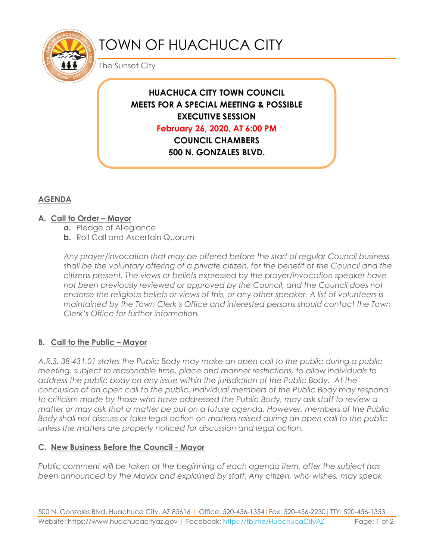

# TOWN OF HUACHUCA CITY

The Sunset City

## **HUACHUCA CITY TOWN COUNCIL MEETS FOR A SPECIAL MEETING & POSSIBLE EXECUTIVE SESSION**

**February 26, 2020, AT 6:00 PM**

**COUNCIL CHAMBERS 500 N. GONZALES BLVD.** 

**HUACHUCA CITY, AZ 85616**

### **AGENDA**

#### **A. Call to Order – Mayor**

- **a.** Pledge of Allegiance
- **b.** Roll Call and Ascertain Quorum

*Any prayer/invocation that may be offered before the start of regular Council business shall be the voluntary offering of a private citizen, for the benefit of the Council and the citizens present. The views or beliefs expressed by the prayer/invocation speaker have not been previously reviewed or approved by the Council, and the Council does not endorse the religious beliefs or views of this, or any other speaker. A list of volunteers is maintained by the Town Clerk's Office and interested persons should contact the Town Clerk's Office for further information.*

#### **B. Call to the Public – Mayor**

*A.R.S. 38-431.01 states the Public Body may make an open call to the public during a public meeting, subject to reasonable time, place and manner restrictions, to allow individuals to address the public body on any issue within the jurisdiction of the Public Body. At the conclusion of an open call to the public, individual members of the Public Body may respond to criticism made by those who have addressed the Public Body, may ask staff to review a matter or may ask that a matter be put on a future agenda. However, members of the Public Body shall not discuss or take legal action on matters raised during an open call to the public unless the matters are properly noticed for discussion and legal action.*

#### **C. New Business Before the Council - Mayor**

*Public comment will be taken at the beginning of each agenda item, after the subject has been announced by the Mayor and explained by staff. Any citizen, who wishes, may speak*